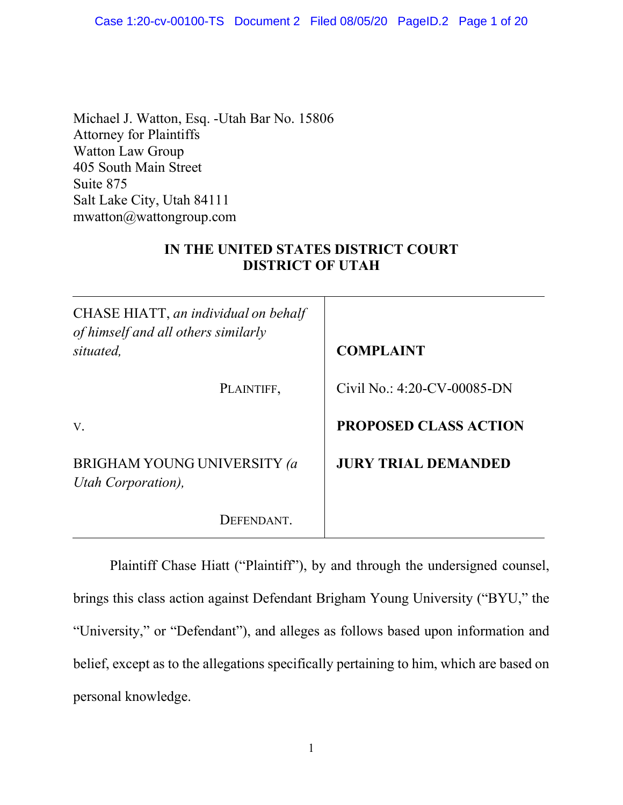Michael J. Watton, Esq. -Utah Bar No. 15806 Attorney for Plaintiffs Watton Law Group 405 South Main Street Suite 875 Salt Lake City, Utah 84111 mwatton@wattongroup.com

# **IN THE UNITED STATES DISTRICT COURT DISTRICT OF UTAH**

| CHASE HIATT, an individual on behalf<br>of himself and all others similarly<br>situated, | <b>COMPLAINT</b>               |  |  |
|------------------------------------------------------------------------------------------|--------------------------------|--|--|
| PLAINTIFF,                                                                               | Civil No.: $4:20$ -CV-00085-DN |  |  |
| V.                                                                                       | <b>PROPOSED CLASS ACTION</b>   |  |  |
| <b>BRIGHAM YOUNG UNIVERSITY (a</b><br>Utah Corporation),                                 | <b>JURY TRIAL DEMANDED</b>     |  |  |
| DEFENDANT.                                                                               |                                |  |  |

Plaintiff Chase Hiatt ("Plaintiff"), by and through the undersigned counsel, brings this class action against Defendant Brigham Young University ("BYU," the "University," or "Defendant"), and alleges as follows based upon information and belief, except as to the allegations specifically pertaining to him, which are based on personal knowledge.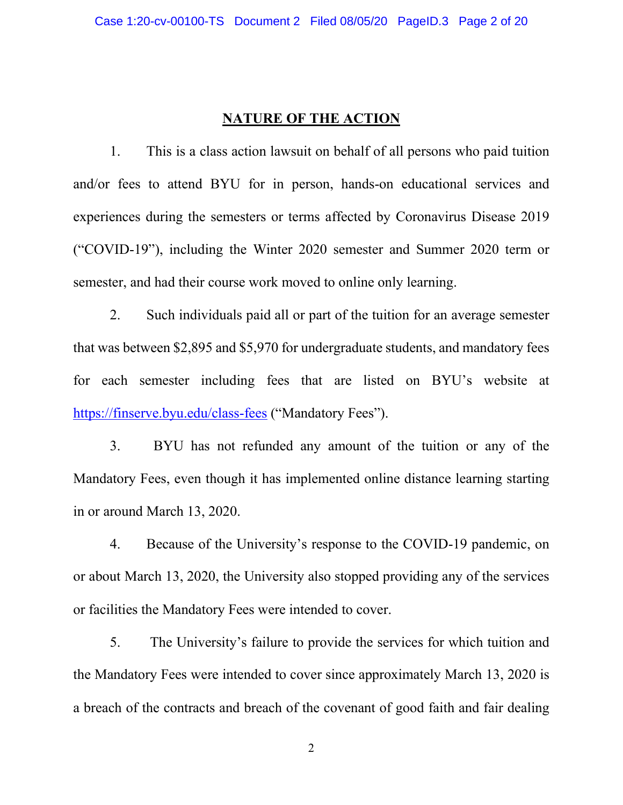#### **NATURE OF THE ACTION**

1. This is a class action lawsuit on behalf of all persons who paid tuition and/or fees to attend BYU for in person, hands-on educational services and experiences during the semesters or terms affected by Coronavirus Disease 2019 ("COVID-19"), including the Winter 2020 semester and Summer 2020 term or semester, and had their course work moved to online only learning.

2. Such individuals paid all or part of the tuition for an average semester that was between \$2,895 and \$5,970 for undergraduate students, and mandatory fees for each semester including fees that are listed on BYU's website at https://finserve.byu.edu/class-fees ("Mandatory Fees").

3. BYU has not refunded any amount of the tuition or any of the Mandatory Fees, even though it has implemented online distance learning starting in or around March 13, 2020.

4. Because of the University's response to the COVID-19 pandemic, on or about March 13, 2020, the University also stopped providing any of the services or facilities the Mandatory Fees were intended to cover.

5. The University's failure to provide the services for which tuition and the Mandatory Fees were intended to cover since approximately March 13, 2020 is a breach of the contracts and breach of the covenant of good faith and fair dealing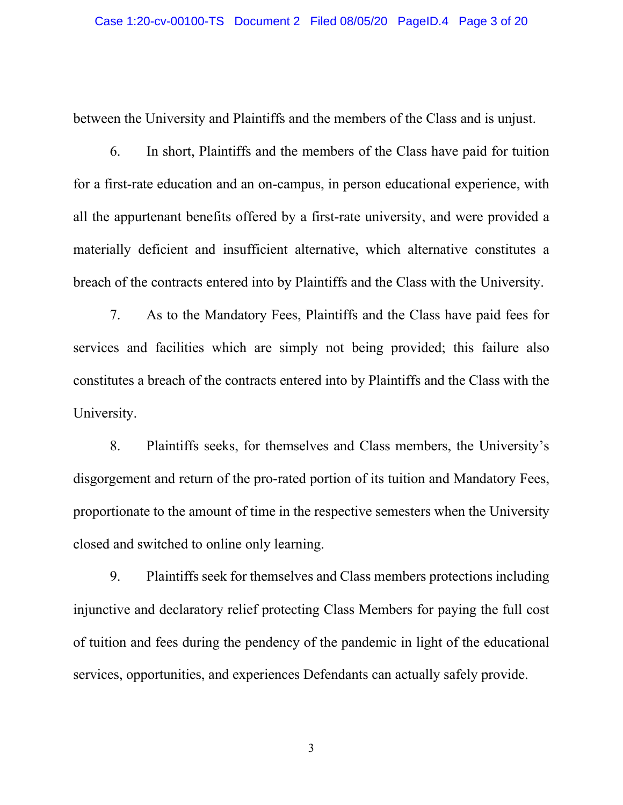between the University and Plaintiffs and the members of the Class and is unjust.

6. In short, Plaintiffs and the members of the Class have paid for tuition for a first-rate education and an on-campus, in person educational experience, with all the appurtenant benefits offered by a first-rate university, and were provided a materially deficient and insufficient alternative, which alternative constitutes a breach of the contracts entered into by Plaintiffs and the Class with the University.

7. As to the Mandatory Fees, Plaintiffs and the Class have paid fees for services and facilities which are simply not being provided; this failure also constitutes a breach of the contracts entered into by Plaintiffs and the Class with the University.

8. Plaintiffs seeks, for themselves and Class members, the University's disgorgement and return of the pro-rated portion of its tuition and Mandatory Fees, proportionate to the amount of time in the respective semesters when the University closed and switched to online only learning.

9. Plaintiffs seek for themselves and Class members protections including injunctive and declaratory relief protecting Class Members for paying the full cost of tuition and fees during the pendency of the pandemic in light of the educational services, opportunities, and experiences Defendants can actually safely provide.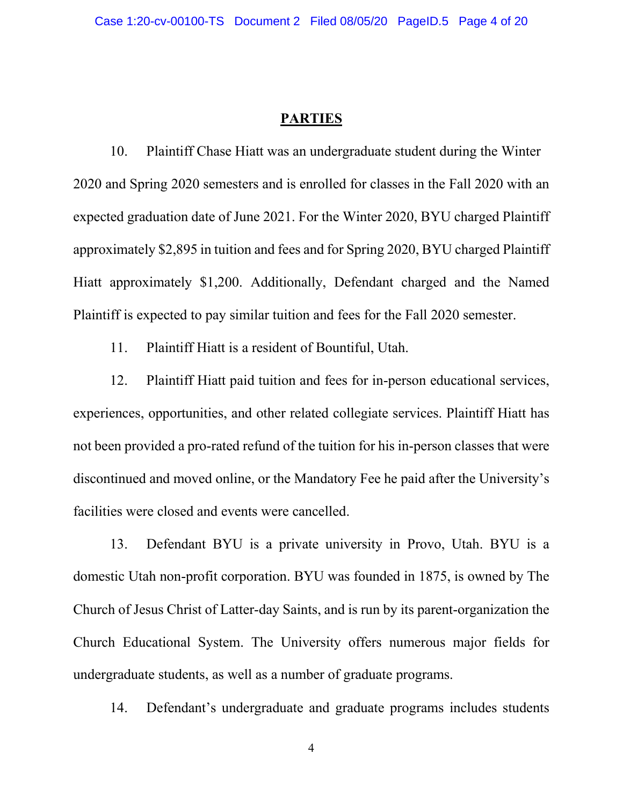#### **PARTIES**

10. Plaintiff Chase Hiatt was an undergraduate student during the Winter 2020 and Spring 2020 semesters and is enrolled for classes in the Fall 2020 with an expected graduation date of June 2021. For the Winter 2020, BYU charged Plaintiff approximately \$2,895 in tuition and fees and for Spring 2020, BYU charged Plaintiff Hiatt approximately \$1,200. Additionally, Defendant charged and the Named Plaintiff is expected to pay similar tuition and fees for the Fall 2020 semester.

11. Plaintiff Hiatt is a resident of Bountiful, Utah.

12. Plaintiff Hiatt paid tuition and fees for in-person educational services, experiences, opportunities, and other related collegiate services. Plaintiff Hiatt has not been provided a pro-rated refund of the tuition for his in-person classes that were discontinued and moved online, or the Mandatory Fee he paid after the University's facilities were closed and events were cancelled.

13. Defendant BYU is a private university in Provo, Utah. BYU is a domestic Utah non-profit corporation. BYU was founded in 1875, is owned by The Church of Jesus Christ of Latter-day Saints, and is run by its parent-organization the Church Educational System. The University offers numerous major fields for undergraduate students, as well as a number of graduate programs.

14. Defendant's undergraduate and graduate programs includes students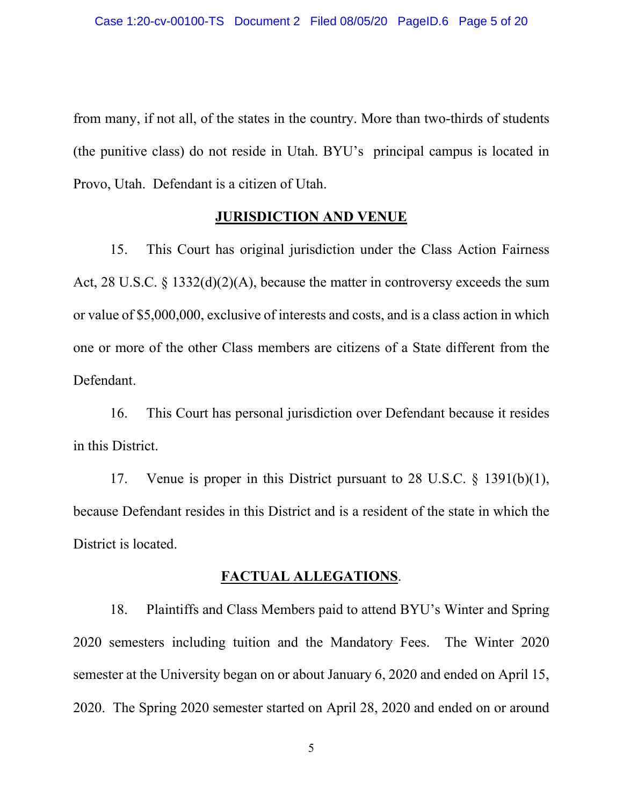from many, if not all, of the states in the country. More than two-thirds of students (the punitive class) do not reside in Utah. BYU's principal campus is located in Provo, Utah. Defendant is a citizen of Utah.

#### **JURISDICTION AND VENUE**

15. This Court has original jurisdiction under the Class Action Fairness Act, 28 U.S.C. § 1332(d)(2)(A), because the matter in controversy exceeds the sum or value of \$5,000,000, exclusive of interests and costs, and is a class action in which one or more of the other Class members are citizens of a State different from the Defendant.

16. This Court has personal jurisdiction over Defendant because it resides in this District.

17. Venue is proper in this District pursuant to 28 U.S.C. § 1391(b)(1), because Defendant resides in this District and is a resident of the state in which the District is located.

#### **FACTUAL ALLEGATIONS**.

18. Plaintiffs and Class Members paid to attend BYU's Winter and Spring 2020 semesters including tuition and the Mandatory Fees. The Winter 2020 semester at the University began on or about January 6, 2020 and ended on April 15, 2020. The Spring 2020 semester started on April 28, 2020 and ended on or around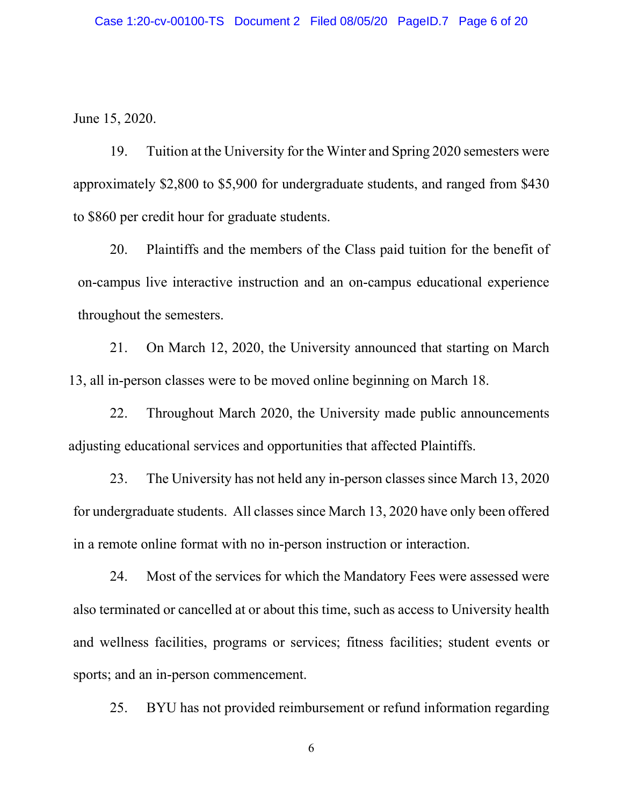June 15, 2020.

19. Tuition at the University for the Winter and Spring 2020 semesters were approximately \$2,800 to \$5,900 for undergraduate students, and ranged from \$430 to \$860 per credit hour for graduate students.

20. Plaintiffs and the members of the Class paid tuition for the benefit of on-campus live interactive instruction and an on-campus educational experience throughout the semesters.

21. On March 12, 2020, the University announced that starting on March 13, all in-person classes were to be moved online beginning on March 18.

22. Throughout March 2020, the University made public announcements adjusting educational services and opportunities that affected Plaintiffs.

23. The University has not held any in-person classes since March 13, 2020 for undergraduate students. All classes since March 13, 2020 have only been offered in a remote online format with no in-person instruction or interaction.

24. Most of the services for which the Mandatory Fees were assessed were also terminated or cancelled at or about this time, such as access to University health and wellness facilities, programs or services; fitness facilities; student events or sports; and an in-person commencement.

25. BYU has not provided reimbursement or refund information regarding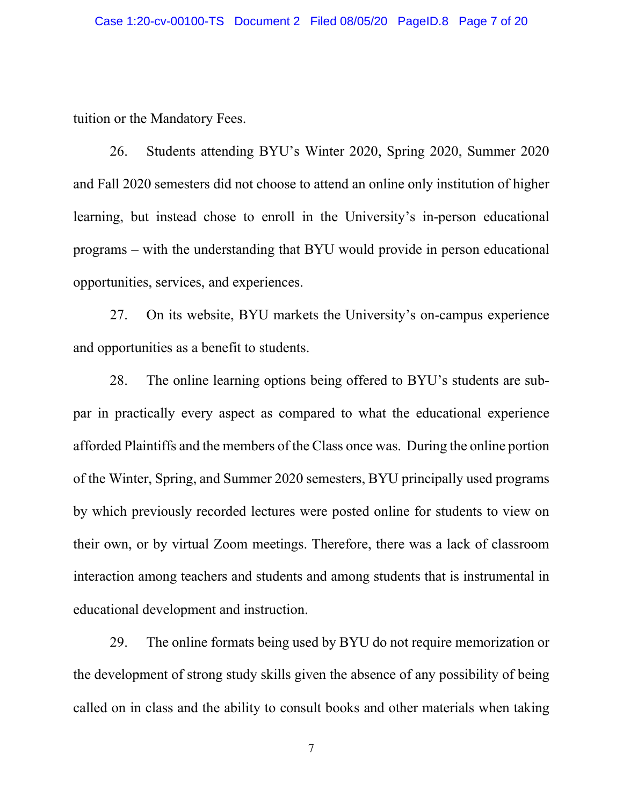tuition or the Mandatory Fees.

26. Students attending BYU's Winter 2020, Spring 2020, Summer 2020 and Fall 2020 semesters did not choose to attend an online only institution of higher learning, but instead chose to enroll in the University's in-person educational programs – with the understanding that BYU would provide in person educational opportunities, services, and experiences.

27. On its website, BYU markets the University's on-campus experience and opportunities as a benefit to students.

28. The online learning options being offered to BYU's students are subpar in practically every aspect as compared to what the educational experience afforded Plaintiffs and the members of the Class once was. During the online portion of the Winter, Spring, and Summer 2020 semesters, BYU principally used programs by which previously recorded lectures were posted online for students to view on their own, or by virtual Zoom meetings. Therefore, there was a lack of classroom interaction among teachers and students and among students that is instrumental in educational development and instruction.

29. The online formats being used by BYU do not require memorization or the development of strong study skills given the absence of any possibility of being called on in class and the ability to consult books and other materials when taking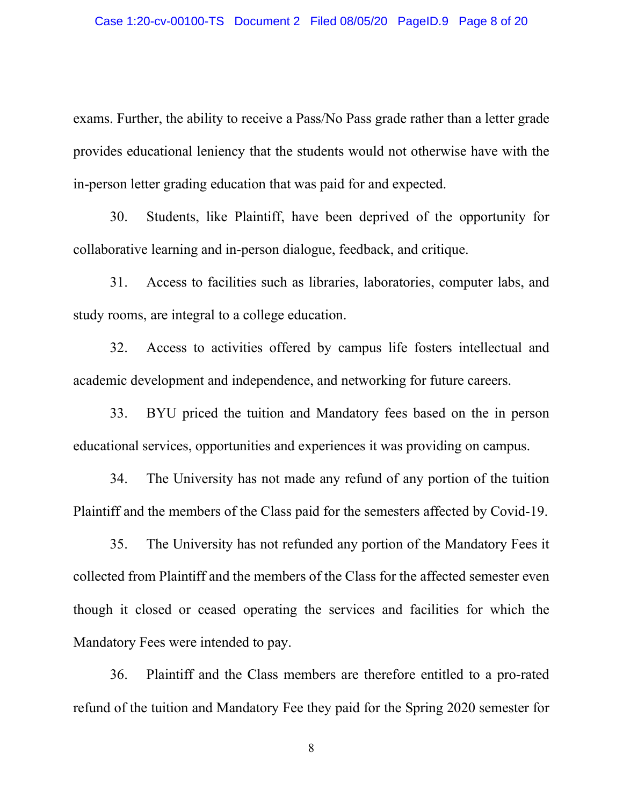exams. Further, the ability to receive a Pass/No Pass grade rather than a letter grade provides educational leniency that the students would not otherwise have with the in-person letter grading education that was paid for and expected.

30. Students, like Plaintiff, have been deprived of the opportunity for collaborative learning and in-person dialogue, feedback, and critique.

31. Access to facilities such as libraries, laboratories, computer labs, and study rooms, are integral to a college education.

32. Access to activities offered by campus life fosters intellectual and academic development and independence, and networking for future careers.

33. BYU priced the tuition and Mandatory fees based on the in person educational services, opportunities and experiences it was providing on campus.

34. The University has not made any refund of any portion of the tuition Plaintiff and the members of the Class paid for the semesters affected by Covid-19.

35. The University has not refunded any portion of the Mandatory Fees it collected from Plaintiff and the members of the Class for the affected semester even though it closed or ceased operating the services and facilities for which the Mandatory Fees were intended to pay.

36. Plaintiff and the Class members are therefore entitled to a pro-rated refund of the tuition and Mandatory Fee they paid for the Spring 2020 semester for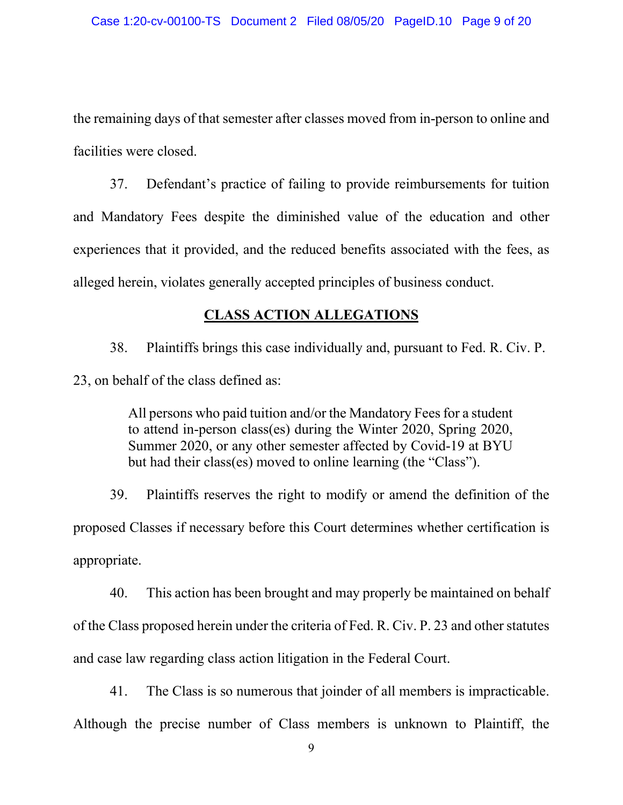the remaining days of that semester after classes moved from in-person to online and facilities were closed.

37. Defendant's practice of failing to provide reimbursements for tuition and Mandatory Fees despite the diminished value of the education and other experiences that it provided, and the reduced benefits associated with the fees, as alleged herein, violates generally accepted principles of business conduct.

# **CLASS ACTION ALLEGATIONS**

38. Plaintiffs brings this case individually and, pursuant to Fed. R. Civ. P. 23, on behalf of the class defined as:

> All persons who paid tuition and/or the Mandatory Fees for a student to attend in-person class(es) during the Winter 2020, Spring 2020, Summer 2020, or any other semester affected by Covid-19 at BYU but had their class(es) moved to online learning (the "Class").

39. Plaintiffs reserves the right to modify or amend the definition of the proposed Classes if necessary before this Court determines whether certification is appropriate.

40. This action has been brought and may properly be maintained on behalf of the Class proposed herein under the criteria of Fed. R. Civ. P. 23 and other statutes and case law regarding class action litigation in the Federal Court.

41. The Class is so numerous that joinder of all members is impracticable. Although the precise number of Class members is unknown to Plaintiff, the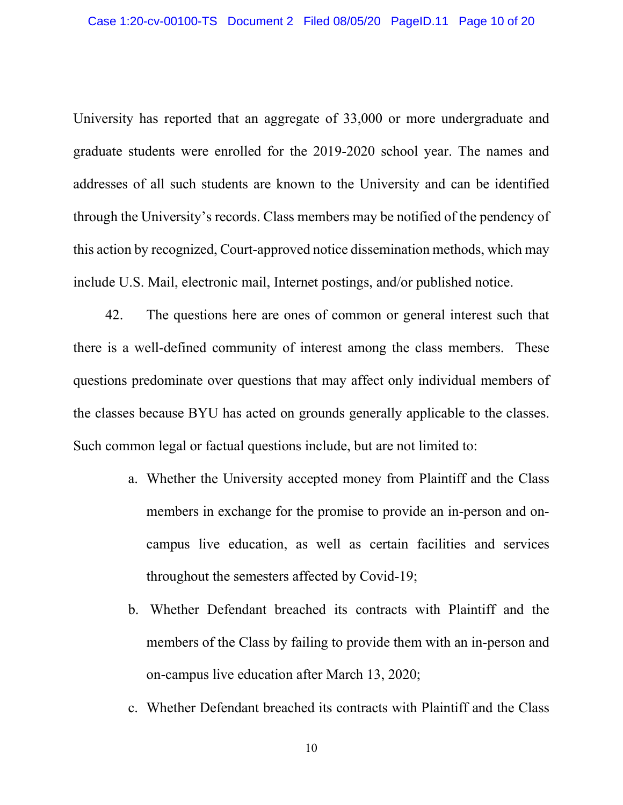University has reported that an aggregate of 33,000 or more undergraduate and graduate students were enrolled for the 2019-2020 school year. The names and addresses of all such students are known to the University and can be identified through the University's records. Class members may be notified of the pendency of this action by recognized, Court-approved notice dissemination methods, which may include U.S. Mail, electronic mail, Internet postings, and/or published notice.

42. The questions here are ones of common or general interest such that there is a well-defined community of interest among the class members. These questions predominate over questions that may affect only individual members of the classes because BYU has acted on grounds generally applicable to the classes. Such common legal or factual questions include, but are not limited to:

- a. Whether the University accepted money from Plaintiff and the Class members in exchange for the promise to provide an in-person and oncampus live education, as well as certain facilities and services throughout the semesters affected by Covid-19;
- b. Whether Defendant breached its contracts with Plaintiff and the members of the Class by failing to provide them with an in-person and on-campus live education after March 13, 2020;
- c. Whether Defendant breached its contracts with Plaintiff and the Class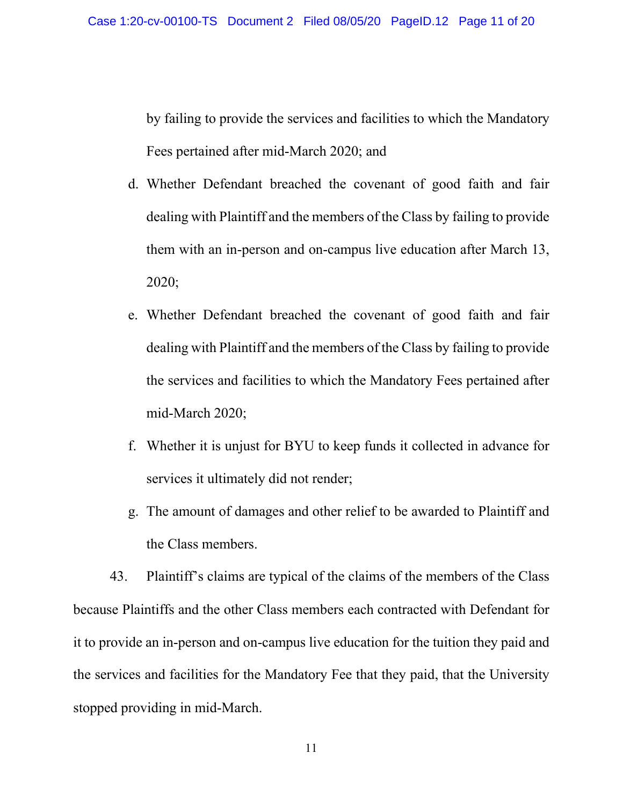by failing to provide the services and facilities to which the Mandatory Fees pertained after mid-March 2020; and

- d. Whether Defendant breached the covenant of good faith and fair dealing with Plaintiff and the members of the Class by failing to provide them with an in-person and on-campus live education after March 13, 2020;
- e. Whether Defendant breached the covenant of good faith and fair dealing with Plaintiff and the members of the Class by failing to provide the services and facilities to which the Mandatory Fees pertained after mid-March 2020;
- f. Whether it is unjust for BYU to keep funds it collected in advance for services it ultimately did not render;
- g. The amount of damages and other relief to be awarded to Plaintiff and the Class members.

43. Plaintiff's claims are typical of the claims of the members of the Class because Plaintiffs and the other Class members each contracted with Defendant for it to provide an in-person and on-campus live education for the tuition they paid and the services and facilities for the Mandatory Fee that they paid, that the University stopped providing in mid-March.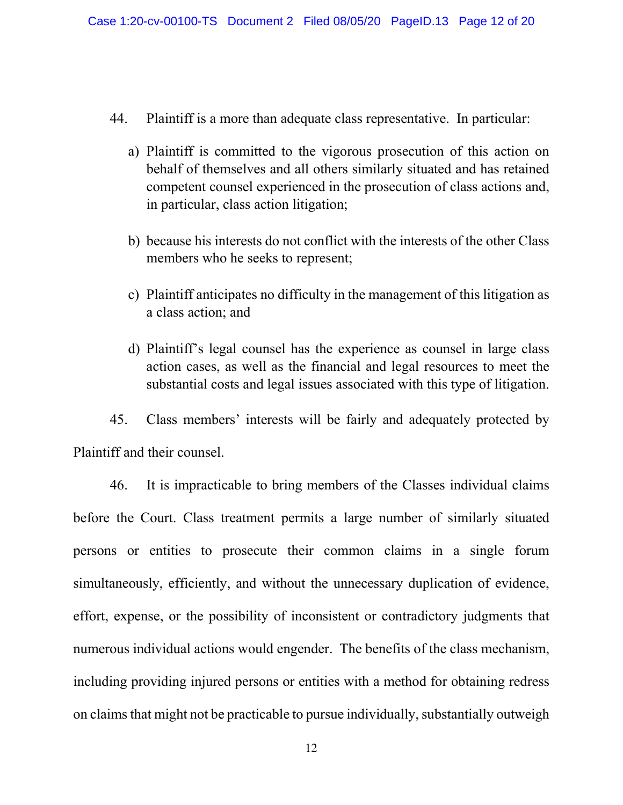- 44. Plaintiff is a more than adequate class representative. In particular:
	- a) Plaintiff is committed to the vigorous prosecution of this action on behalf of themselves and all others similarly situated and has retained competent counsel experienced in the prosecution of class actions and, in particular, class action litigation;
	- b) because his interests do not conflict with the interests of the other Class members who he seeks to represent;
	- c) Plaintiff anticipates no difficulty in the management of this litigation as a class action; and
	- d) Plaintiff's legal counsel has the experience as counsel in large class action cases, as well as the financial and legal resources to meet the substantial costs and legal issues associated with this type of litigation.

45. Class members' interests will be fairly and adequately protected by Plaintiff and their counsel.

46. It is impracticable to bring members of the Classes individual claims before the Court. Class treatment permits a large number of similarly situated persons or entities to prosecute their common claims in a single forum simultaneously, efficiently, and without the unnecessary duplication of evidence, effort, expense, or the possibility of inconsistent or contradictory judgments that numerous individual actions would engender. The benefits of the class mechanism, including providing injured persons or entities with a method for obtaining redress on claims that might not be practicable to pursue individually, substantially outweigh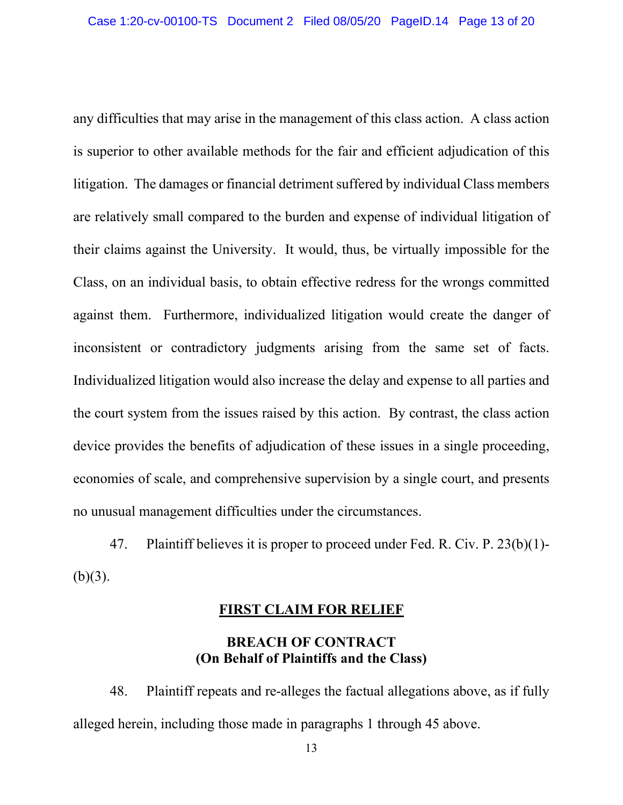any difficulties that may arise in the management of this class action. A class action is superior to other available methods for the fair and efficient adjudication of this litigation. The damages or financial detriment suffered by individual Class members are relatively small compared to the burden and expense of individual litigation of their claims against the University. It would, thus, be virtually impossible for the Class, on an individual basis, to obtain effective redress for the wrongs committed against them. Furthermore, individualized litigation would create the danger of inconsistent or contradictory judgments arising from the same set of facts. Individualized litigation would also increase the delay and expense to all parties and the court system from the issues raised by this action. By contrast, the class action device provides the benefits of adjudication of these issues in a single proceeding, economies of scale, and comprehensive supervision by a single court, and presents no unusual management difficulties under the circumstances.

47. Plaintiff believes it is proper to proceed under Fed. R. Civ. P. 23(b)(1)-  $(b)(3)$ .

#### **FIRST CLAIM FOR RELIEF**

## **BREACH OF CONTRACT (On Behalf of Plaintiffs and the Class)**

48. Plaintiff repeats and re-alleges the factual allegations above, as if fully alleged herein, including those made in paragraphs 1 through 45 above.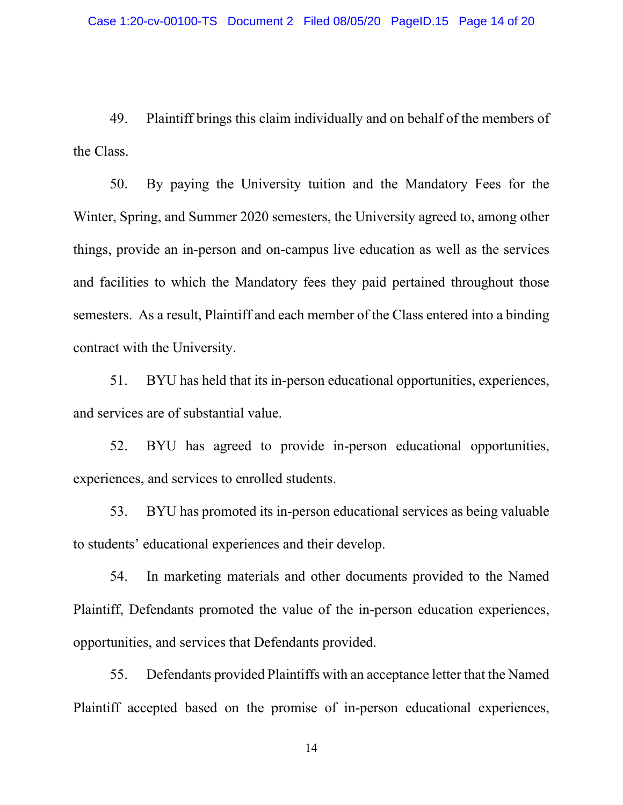49. Plaintiff brings this claim individually and on behalf of the members of the Class.

50. By paying the University tuition and the Mandatory Fees for the Winter, Spring, and Summer 2020 semesters, the University agreed to, among other things, provide an in-person and on-campus live education as well as the services and facilities to which the Mandatory fees they paid pertained throughout those semesters. As a result, Plaintiff and each member of the Class entered into a binding contract with the University.

51. BYU has held that its in-person educational opportunities, experiences, and services are of substantial value.

52. BYU has agreed to provide in-person educational opportunities, experiences, and services to enrolled students.

53. BYU has promoted its in-person educational services as being valuable to students' educational experiences and their develop.

54. In marketing materials and other documents provided to the Named Plaintiff, Defendants promoted the value of the in-person education experiences, opportunities, and services that Defendants provided.

55. Defendants provided Plaintiffs with an acceptance letter that the Named Plaintiff accepted based on the promise of in-person educational experiences,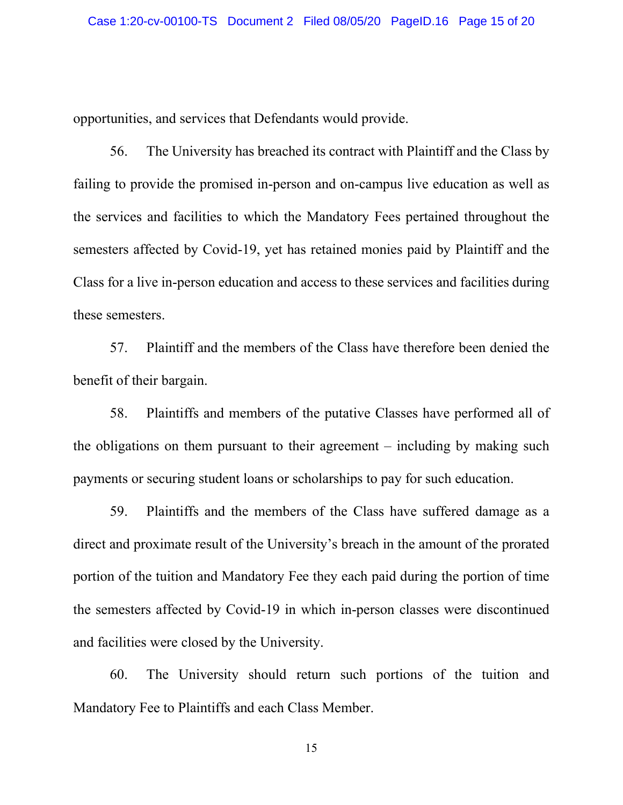opportunities, and services that Defendants would provide.

56. The University has breached its contract with Plaintiff and the Class by failing to provide the promised in-person and on-campus live education as well as the services and facilities to which the Mandatory Fees pertained throughout the semesters affected by Covid-19, yet has retained monies paid by Plaintiff and the Class for a live in-person education and access to these services and facilities during these semesters.

57. Plaintiff and the members of the Class have therefore been denied the benefit of their bargain.

58. Plaintiffs and members of the putative Classes have performed all of the obligations on them pursuant to their agreement – including by making such payments or securing student loans or scholarships to pay for such education.

59. Plaintiffs and the members of the Class have suffered damage as a direct and proximate result of the University's breach in the amount of the prorated portion of the tuition and Mandatory Fee they each paid during the portion of time the semesters affected by Covid-19 in which in-person classes were discontinued and facilities were closed by the University.

60. The University should return such portions of the tuition and Mandatory Fee to Plaintiffs and each Class Member.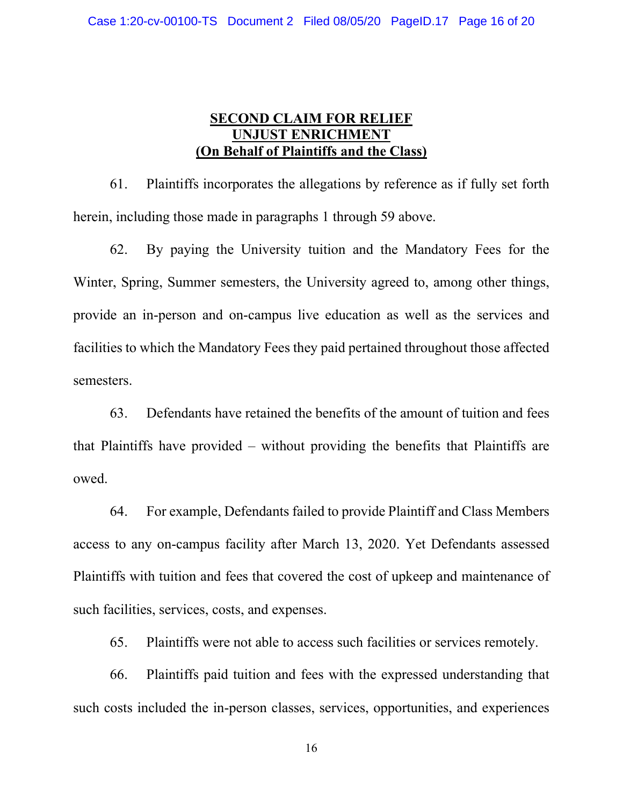## **SECOND CLAIM FOR RELIEF UNJUST ENRICHMENT (On Behalf of Plaintiffs and the Class)**

61. Plaintiffs incorporates the allegations by reference as if fully set forth herein, including those made in paragraphs 1 through 59 above.

62. By paying the University tuition and the Mandatory Fees for the Winter, Spring, Summer semesters, the University agreed to, among other things, provide an in-person and on-campus live education as well as the services and facilities to which the Mandatory Fees they paid pertained throughout those affected semesters.

63. Defendants have retained the benefits of the amount of tuition and fees that Plaintiffs have provided – without providing the benefits that Plaintiffs are owed.

64. For example, Defendants failed to provide Plaintiff and Class Members access to any on-campus facility after March 13, 2020. Yet Defendants assessed Plaintiffs with tuition and fees that covered the cost of upkeep and maintenance of such facilities, services, costs, and expenses.

65. Plaintiffs were not able to access such facilities or services remotely.

66. Plaintiffs paid tuition and fees with the expressed understanding that such costs included the in-person classes, services, opportunities, and experiences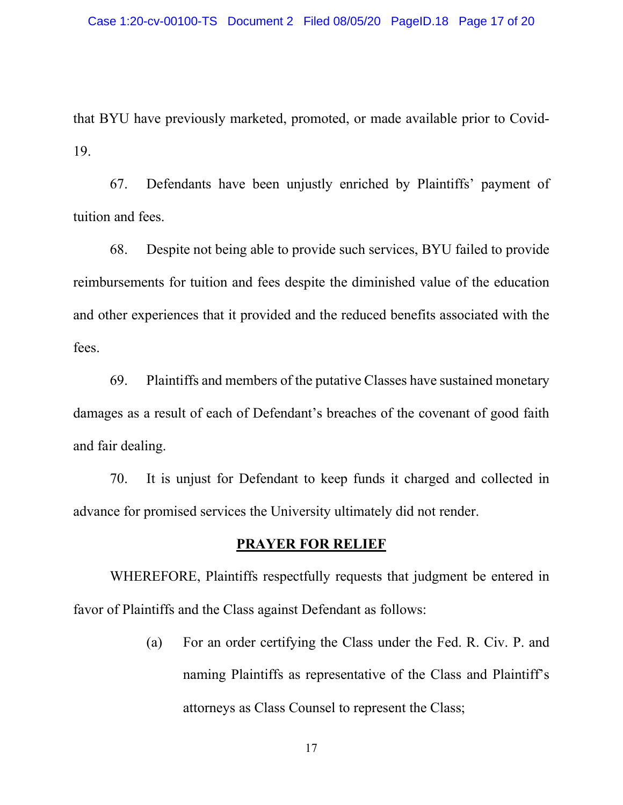that BYU have previously marketed, promoted, or made available prior to Covid-19.

67. Defendants have been unjustly enriched by Plaintiffs' payment of tuition and fees.

68. Despite not being able to provide such services, BYU failed to provide reimbursements for tuition and fees despite the diminished value of the education and other experiences that it provided and the reduced benefits associated with the fees.

69. Plaintiffs and members of the putative Classes have sustained monetary damages as a result of each of Defendant's breaches of the covenant of good faith and fair dealing.

70. It is unjust for Defendant to keep funds it charged and collected in advance for promised services the University ultimately did not render.

#### **PRAYER FOR RELIEF**

WHEREFORE, Plaintiffs respectfully requests that judgment be entered in favor of Plaintiffs and the Class against Defendant as follows:

> (a) For an order certifying the Class under the Fed. R. Civ. P. and naming Plaintiffs as representative of the Class and Plaintiff's attorneys as Class Counsel to represent the Class;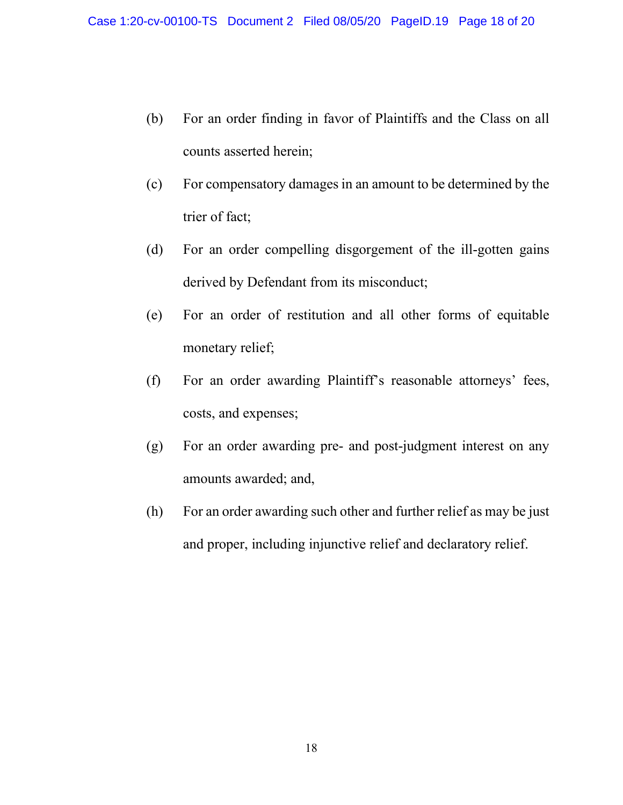- (b) For an order finding in favor of Plaintiffs and the Class on all counts asserted herein;
- (c) For compensatory damages in an amount to be determined by the trier of fact;
- (d) For an order compelling disgorgement of the ill-gotten gains derived by Defendant from its misconduct;
- (e) For an order of restitution and all other forms of equitable monetary relief;
- (f) For an order awarding Plaintiff's reasonable attorneys' fees, costs, and expenses;
- (g) For an order awarding pre- and post-judgment interest on any amounts awarded; and,
- (h) For an order awarding such other and further relief as may be just and proper, including injunctive relief and declaratory relief.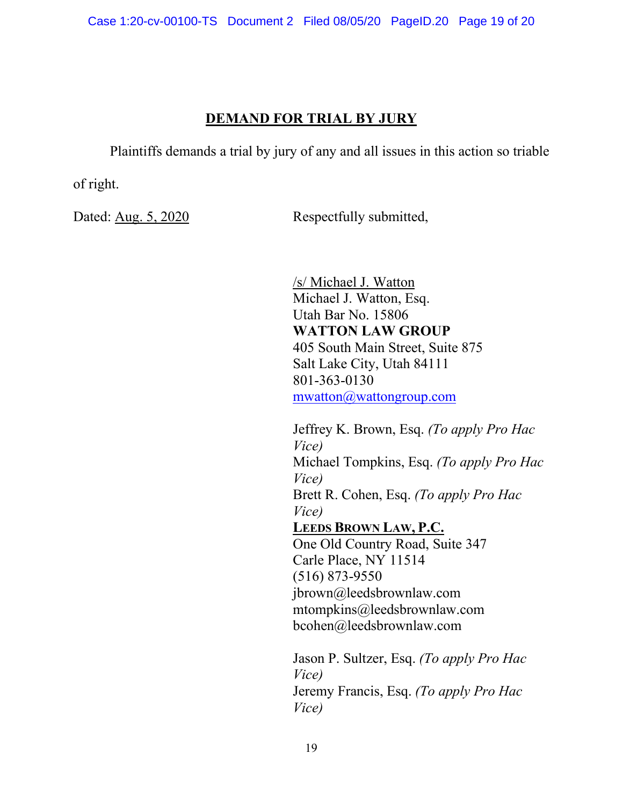# **DEMAND FOR TRIAL BY JURY**

Plaintiffs demands a trial by jury of any and all issues in this action so triable

of right.

Dated: Aug. 5, 2020 Respectfully submitted,

/s/ Michael J. Watton Michael J. Watton, Esq. Utah Bar No. 15806 **WATTON LAW GROUP** 405 South Main Street, Suite 875 Salt Lake City, Utah 84111 801-363-0130 mwatton@wattongroup.com

Jeffrey K. Brown, Esq. *(To apply Pro Hac Vice)* Michael Tompkins, Esq. *(To apply Pro Hac Vice)* Brett R. Cohen, Esq. *(To apply Pro Hac Vice)* **LEEDS BROWN LAW, P.C.** One Old Country Road, Suite 347 Carle Place, NY 11514 (516) 873-9550 jbrown@leedsbrownlaw.com mtompkins@leedsbrownlaw.com bcohen@leedsbrownlaw.com Jason P. Sultzer, Esq. *(To apply Pro Hac* 

*Vice)* Jeremy Francis, Esq. *(To apply Pro Hac Vice)*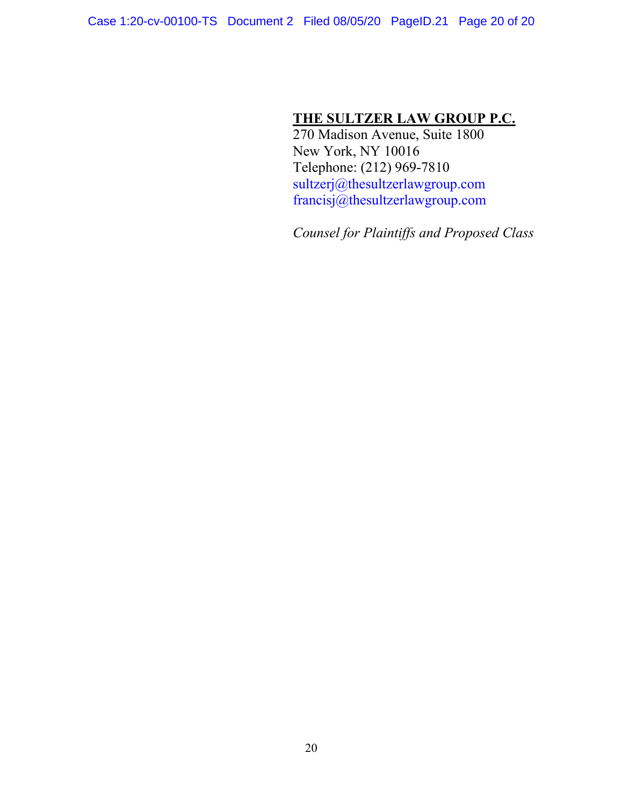# **THE SULTZER LAW GROUP P.C.**

270 Madison Avenue, Suite 1800 New York, NY 10016 Telephone: (212) 969-7810 sultzerj@thesultzerlawgroup.com francisj@thesultzerlawgroup.com

*Counsel for Plaintiffs and Proposed Class*